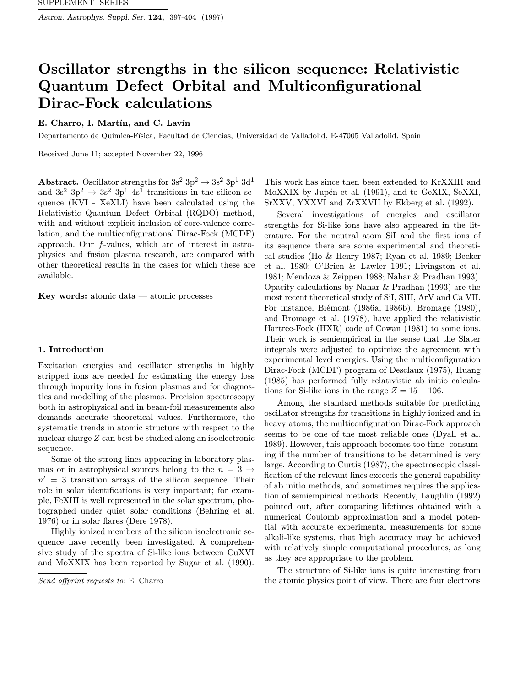Astron. Astrophys. Suppl. Ser. 124, 397-404 (1997)

# Oscillator strengths in the silicon sequence: Relativistic Quantum Defect Orbital and Multiconfigurational Dirac-Fock calculations

# E. Charro, I. Martín, and C. Lavín

Departamento de Química-Física, Facultad de Ciencias, Universidad de Valladolid, E-47005 Valladolid, Spain

Received June 11; accepted November 22, 1996

Abstract. Oscillator strengths for  $3s^2$   $3p^2 \rightarrow 3s^2$   $3p^1$   $3d^1$ and  $3s^2$   $3p^2 \rightarrow 3s^2$   $3p^1$   $4s^1$  transitions in the silicon sequence (KVI - XeXLI) have been calculated using the Relativistic Quantum Defect Orbital (RQDO) method, with and without explicit inclusion of core-valence correlation, and the multiconfigurational Dirac-Fock (MCDF) approach. Our f-values, which are of interest in astrophysics and fusion plasma research, are compared with other theoretical results in the cases for which these are available.

Key words: atomic data — atomic processes

### 1. Introduction

Excitation energies and oscillator strengths in highly stripped ions are needed for estimating the energy loss through impurity ions in fusion plasmas and for diagnostics and modelling of the plasmas. Precision spectroscopy both in astrophysical and in beam-foil measurements also demands accurate theoretical values. Furthermore, the systematic trends in atomic structure with respect to the nuclear charge Z can best be studied along an isoelectronic sequence.

Some of the strong lines appearing in laboratory plasmas or in astrophysical sources belong to the  $n = 3 \rightarrow$  $n' = 3$  transition arrays of the silicon sequence. Their role in solar identifications is very important; for example, FeXIII is well represented in the solar spectrum, photographed under quiet solar conditions (Behring et al. 1976) or in solar flares (Dere 1978).

Highly ionized members of the silicon isoelectronic sequence have recently been investigated. A comprehensive study of the spectra of Si-like ions between CuXVI and MoXXIX has been reported by Sugar et al. (1990).

This work has since then been extended to KrXXIII and MoXXIX by Jupén et al. (1991), and to GeXIX, SeXXI, SrXXV, YXXVI and ZrXXVII by Ekberg et al. (1992).

Several investigations of energies and oscillator strengths for Si-like ions have also appeared in the literature. For the neutral atom SiI and the first ions of its sequence there are some experimental and theoretical studies (Ho & Henry 1987; Ryan et al. 1989; Becker et al. 1980; O'Brien & Lawler 1991; Livingston et al. 1981; Mendoza & Zeippen 1988; Nahar & Pradhan 1993). Opacity calculations by Nahar & Pradhan (1993) are the most recent theoretical study of SiI, SIII, ArV and Ca VII. For instance, Biémont (1986a, 1986b), Bromage (1980), and Bromage et al. (1978), have applied the relativistic Hartree-Fock (HXR) code of Cowan (1981) to some ions. Their work is semiempirical in the sense that the Slater integrals were adjusted to optimize the agreement with experimental level energies. Using the multiconfiguration Dirac-Fock (MCDF) program of Desclaux (1975), Huang (1985) has performed fully relativistic ab initio calculations for Si-like ions in the range  $Z = 15 - 106$ .

Among the standard methods suitable for predicting oscillator strengths for transitions in highly ionized and in heavy atoms, the multiconfiguration Dirac-Fock approach seems to be one of the most reliable ones (Dyall et al. 1989). However, this approach becomes too time- consuming if the number of transitions to be determined is very large. According to Curtis (1987), the spectroscopic classification of the relevant lines exceeds the general capability of ab initio methods, and sometimes requires the application of semiempirical methods. Recently, Laughlin (1992) pointed out, after comparing lifetimes obtained with a numerical Coulomb approximation and a model potential with accurate experimental measurements for some alkali-like systems, that high accuracy may be achieved with relatively simple computational procedures, as long as they are appropriate to the problem.

The structure of Si-like ions is quite interesting from the atomic physics point of view. There are four electrons

Send offprint requests to: E. Charro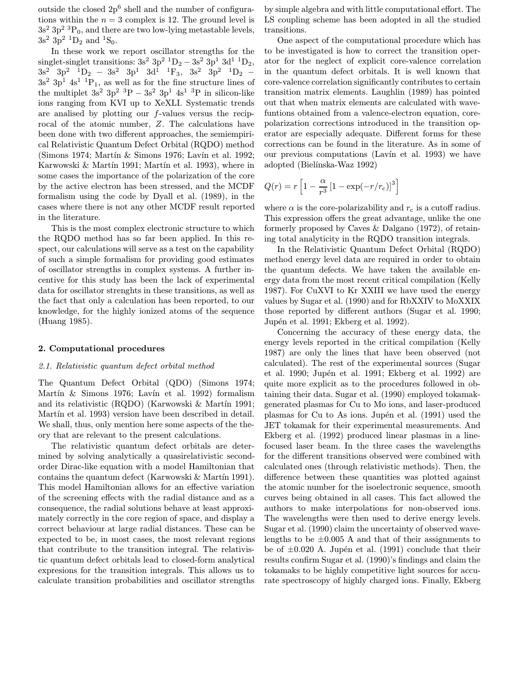outside the closed  $2p^6$  shell and the number of configurations within the  $n = 3$  complex is 12. The ground level is  $3s^2 3p^2 3P_0$ , and there are two low-lying metastable levels,  $3s^2$  3p<sup>2</sup> <sup>1</sup>D<sub>2</sub> and <sup>1</sup>S<sub>0</sub>.

In these work we report oscillator strengths for the singlet-singlet transitions:  $3s^2$  3p<sup>2</sup> <sup>1</sup>D<sub>2</sub>  $-$  3s<sup>2</sup> 3p<sup>1</sup> 3d<sup>1</sup> <sup>1</sup>D<sub>2</sub>,  $3s^2$   $3p^2$   $1D_2$  −  $3s^2$   $3p^1$   $3d^1$   $1F_3$ ,  $3s^2$   $3p^2$   $1D_2$  −  $3s^2$  3p<sup>1</sup> 4s<sup>1</sup> <sup>1</sup>P<sub>1</sub>, as well as for the fine structure lines of the multiplet  $3s^2$  3p<sup>2</sup> <sup>3</sup>P − 3s<sup>2</sup> 3p<sup>1</sup> 4s<sup>1</sup> <sup>3</sup>P in silicon-like ions ranging from KVI up to XeXLI. Systematic trends are analised by plotting our f-values versus the reciprocal of the atomic number, Z. The calculations have been done with two different approaches, the semiempirical Relativistic Quantum Defect Orbital (RQDO) method (Simons 1974; Martín & Simons 1976; Lavín et al. 1992; Karwowski  $& Martin 1991$ ; Martín et al. 1993), where in some cases the importance of the polarization of the core by the active electron has been stressed, and the MCDF formalism using the code by Dyall et al. (1989), in the cases where there is not any other MCDF result reported in the literature.

This is the most complex electronic structure to which the RQDO method has so far been applied. In this respect, our calculations will serve as a test on the capability of such a simple formalism for providing good estimates of oscillator strengths in complex systems. A further incentive for this study has been the lack of experimental data for oscillator strenghts in these transitions, as well as the fact that only a calculation has been reported, to our knowledge, for the highly ionized atoms of the sequence (Huang 1985).

### 2. Computational procedures

## 2.1. Relativistic quantum defect orbital method

The Quantum Defect Orbital (QDO) (Simons 1974; Martín  $\&$  Simons 1976; Lavín et al. 1992) formalism and its relativistic (RQDO) (Karwowski & Martín 1991; Martín et al. 1993) version have been described in detail. We shall, thus, only mention here some aspects of the theory that are relevant to the present calculations.

The relativistic quantum defect orbitals are determined by solving analytically a quasirelativistic secondorder Dirac-like equation with a model Hamiltonian that contains the quantum defect (Karwowski  $\&$  Martín 1991). This model Hamiltonian allows for an effective variation of the screening effects with the radial distance and as a consequence, the radial solutions behave at least approximately correctly in the core region of space, and display a correct behaviour at large radial distances. These can be expected to be, in most cases, the most relevant regions that contribute to the transition integral. The relativistic quantum defect orbitals lead to closed-form analytical expresions for the transition integrals. This allows us to calculate transition probabilities and oscillator strengths by simple algebra and with little computational effort. The LS coupling scheme has been adopted in all the studied transitions.

One aspect of the computational procedure which has to be investigated is how to correct the transition operator for the neglect of explicit core-valence correlation in the quantum defect orbitals. It is well known that core-valence correlation significantly contributes to certain transition matrix elements. Laughlin (1989) has pointed out that when matrix elements are calculated with wavefuntions obtained from a valence-electron equation, corepolarization corrections introduced in the transition operator are especially adequate. Different forms for these corrections can be found in the literature. As in some of our previous computations (Lavín et al. 1993) we have adopted (Bielínska-Waz 1992)

$$
Q(r) = r \left[ 1 - \frac{\alpha}{r^3} \left[ 1 - \exp(-r/r_c) \right]^3 \right]
$$

where  $\alpha$  is the core-polarizability and  $r_c$  is a cutoff radius. This expression offers the great advantage, unlike the one formerly proposed by Caves & Dalgano (1972), of retaining total analyticity in the RQDO transition integrals.

In the Relativistic Quantum Defect Orbital (RQDO) method energy level data are required in order to obtain the quantum defects. We have taken the available energy data from the most recent critical compilation (Kelly 1987). For CuXVI to Kr XXIII we have used the energy values by Sugar et al. (1990) and for RbXXIV to MoXXIX those reported by different authors (Sugar et al. 1990; Jupén et al. 1991; Ekberg et al. 1992).

Concerning the accuracy of these energy data, the energy levels reported in the critical compilation (Kelly 1987) are only the lines that have been observed (not calculated). The rest of the experimental sources (Sugar et al. 1990; Jupén et al. 1991; Ekberg et al. 1992) are quite more explicit as to the procedures followed in obtaining their data. Sugar et al. (1990) employed tokamakgenerated plasmas for Cu to Mo ions, and laser-produced plasmas for Cu to As ions. Jupén et al. (1991) used the JET tokamak for their experimental measurements. And Ekberg et al. (1992) produced linear plasmas in a linefocused laser beam. In the three cases the wavelengths for the different transitions observed were combined with calculated ones (through relativistic methods). Then, the difference between these quantities was plotted against the atomic number for the isoelectronic sequence, smooth curves being obtained in all cases. This fact allowed the authors to make interpolations for non-observed ions. The wavelengths were then used to derive energy levels. Sugar et al. (1990) claim the uncertainty of observed wavelengths to be  $\pm 0.005$  A and that of their assignments to be of  $\pm 0.020$  A. Jupén et al. (1991) conclude that their results confirm Sugar et al. (1990)'s findings and claim the tokamaks to be highly competitive light sources for accurate spectroscopy of highly charged ions. Finally, Ekberg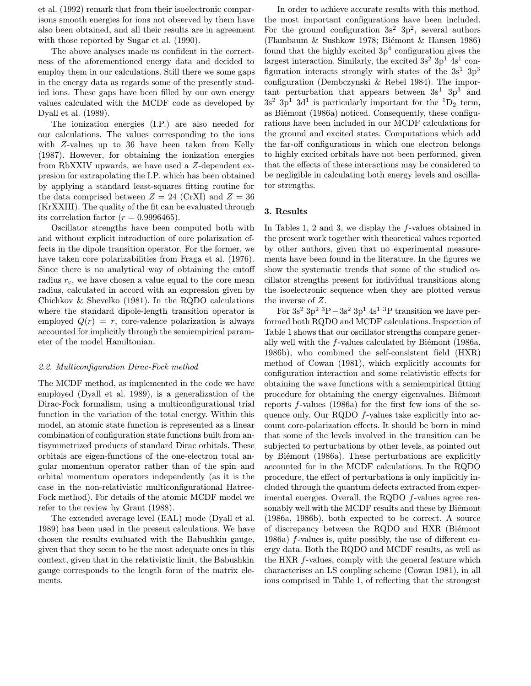et al. (1992) remark that from their isoelectronic comparisons smooth energies for ions not observed by them have also been obtained, and all their results are in agreement with those reported by Sugar et al. (1990).

The above analyses made us confident in the correctness of the aforementioned energy data and decided to employ them in our calculations. Still there we some gaps in the energy data as regards some of the presently studied ions. These gaps have been filled by our own energy values calculated with the MCDF code as developed by Dyall et al. (1989).

The ionization energies (I.P.) are also needed for our calculations. The values corresponding to the ions with Z-values up to 36 have been taken from Kelly (1987). However, for obtaining the ionization energies from RbXXIV upwards, we have used a Z-dependent expresion for extrapolating the I.P. which has been obtained by applying a standard least-squares fitting routine for the data comprised between  $Z = 24$  (CrXI) and  $Z = 36$ (KrXXIII). The quality of the fit can be evaluated through its correlation factor  $(r = 0.9996465)$ .

Oscillator strengths have been computed both with and without explicit introduction of core polarization effects in the dipole transition operator. For the former, we have taken core polarizabilities from Fraga et al. (1976). Since there is no analytical way of obtaining the cutoff radius  $r_c$ , we have chosen a value equal to the core mean radius, calculated in accord with an expression given by Chichkov & Shevelko (1981). In the RQDO calculations where the standard dipole-length transition operator is employed  $Q(r) = r$ , core-valence polarization is always accounted for implicitly through the semiempirical parameter of the model Hamiltonian.

# 2.2. Multiconfiguration Dirac-Fock method

The MCDF method, as implemented in the code we have employed (Dyall et al. 1989), is a generalization of the Dirac-Fock formalism, using a multiconfigurational trial function in the variation of the total energy. Within this model, an atomic state function is represented as a linear combination of configuration state functions built from antisymmetrized products of standard Dirac orbitals. These orbitals are eigen-functions of the one-electron total angular momentum operator rather than of the spin and orbital momentum operators independently (as it is the case in the non-relativistic multiconfigurational Hatree-Fock method). For details of the atomic MCDF model we refer to the review by Grant (1988).

The extended average level (EAL) mode (Dyall et al. 1989) has been used in the present calculations. We have chosen the results evaluated with the Babushkin gauge, given that they seem to be the most adequate ones in this context, given that in the relativistic limit, the Babushkin gauge corresponds to the length form of the matrix elements.

In order to achieve accurate results with this method, the most important configurations have been included. For the ground configuration  $3s^2$  3p<sup>2</sup>, several authors (Flambaum  $&$  Sushkow 1978; Biémont  $&$  Hansen 1986) found that the highly excited  $3p<sup>4</sup>$  configuration gives the largest interaction. Similarly, the excited  $3s^2$  3p<sup>1</sup> 4s<sup>1</sup> configuration interacts strongly with states of the  $3s^1$  3p<sup>3</sup> configuration (Dembczynski & Rebel 1984). The important perturbation that appears between  $3s<sup>1</sup> 3p<sup>3</sup>$  and  $3s^2$  3p<sup>1</sup> 3d<sup>1</sup> is particularly important for the <sup>1</sup>D<sub>2</sub> term, as Biémont (1986a) noticed. Consequently, these configurations have been included in our MCDF calculations for the ground and excited states. Computations which add the far-off configurations in which one electron belongs to highly excited orbitals have not been performed, given that the effects of these interactions may be considered to be negligible in calculating both energy levels and oscillator strengths.

#### 3. Results

In Tables 1, 2 and 3, we display the f-values obtained in the present work together with theoretical values reported by other authors, given that no experimental measurements have been found in the literature. In the figures we show the systematic trends that some of the studied oscillator strengths present for individual transitions along the isoelectronic sequence when they are plotted versus the inverse of Z.

For  $3s^2$  3p<sup>2</sup> <sup>3</sup>P  $-3s^2$  3p<sup>1</sup> 4s<sup>1</sup> <sup>3</sup>P transition we have performed both RQDO and MCDF calculations. Inspection of Table 1 shows that our oscillator strengths compare generally well with the  $f$ -values calculated by Biémont (1986a, 1986b), who combined the self-consistent field (HXR) method of Cowan (1981), which explicitly accounts for configuration interaction and some relativistic effects for obtaining the wave functions with a semiempirical fitting procedure for obtaining the energy eigenvalues. Biémont reports f-values (1986a) for the first few ions of the sequence only. Our RQDO f-values take explicitly into account core-polarization effects. It should be born in mind that some of the levels involved in the transition can be subjected to perturbations by other levels, as pointed out by Biémont (1986a). These perturbations are explicitly accounted for in the MCDF calculations. In the RQDO procedure, the effect of perturbations is only implicitly included through the quantum defects extracted from experimental energies. Overall, the RQDO f-values agree reasonably well with the MCDF results and these by Biémont (1986a, 1986b), both expected to be correct. A source of discrepancy between the RQDO and HXR (Biémont 1986a) f-values is, quite possibly, the use of different energy data. Both the RQDO and MCDF results, as well as the HXR f-values, comply with the general feature which characterises an LS coupling scheme (Cowan 1981), in all ions comprised in Table 1, of reflecting that the strongest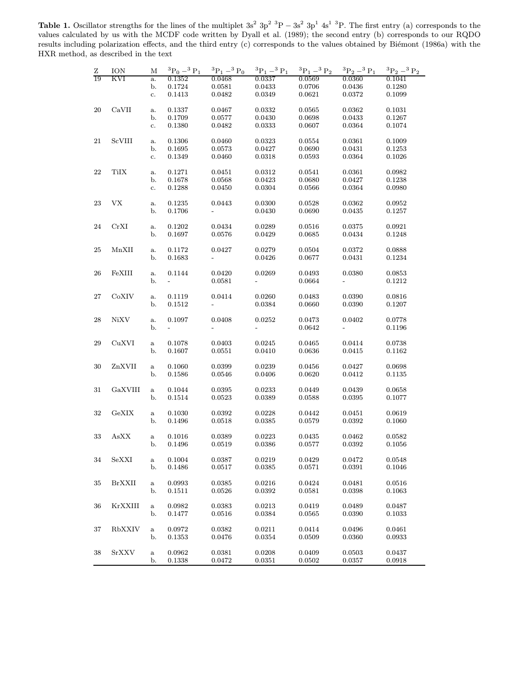Table 1. Oscillator strengths for the lines of the multiplet  $3s^2$  3p<sup>2</sup> <sup>3</sup>P –  $3s^2$  3p<sup>1</sup> 4s<sup>1</sup> <sup>3</sup>P. The first entry (a) corresponds to the values calculated by us with the MCDF code written by Dyall et al. (1989); the second entry (b) corresponds to our RQDO results including polarization effects, and the third entry (c) corresponds to the values obtained by Biémont (1986a) with the HXR method, as described in the text

| Ζ      | ION                       | М                  | ${}^{3}P_0 - {}^{3}P_1$  | ${}^{3}P_1-{}^{3}P_0$    | ${}^{3}{\rm P}_{1}$ $-{}^{3}{\rm P}_{1}$ | $^3\mathrm{P}_1$ $-^3$ $\mathrm{P}_2$ | ${}^3P_2-{}^3P_1$        | ${}^{3}P_{2} - {}^{3}P_{2}$ |
|--------|---------------------------|--------------------|--------------------------|--------------------------|------------------------------------------|---------------------------------------|--------------------------|-----------------------------|
| 19     | <b>KVI</b>                | a.                 | 0.1352                   | 0.0468                   | 0.0337                                   | 0.0569                                | 0.0360                   | 0.1041                      |
|        |                           | b.                 | 0.1724                   | 0.0581                   | 0.0433                                   | 0.0706                                | 0.0436                   | 0.1280                      |
|        |                           | c.                 | 0.1413                   | 0.0482                   | 0.0349                                   | 0.0621                                | 0.0372                   | 0.1099                      |
| $20\,$ | CaVII                     | a.                 | 0.1337                   | 0.0467                   | 0.0332                                   | 0.0565                                | 0.0362                   | 0.1031                      |
|        |                           | b.                 | 0.1709                   | 0.0577                   | 0.0430                                   | 0.0698                                | 0.0433                   | 0.1267                      |
|        |                           | c.                 | 0.1380                   | 0.0482                   | 0.0333                                   | 0.0607                                | 0.0364                   | 0.1074                      |
| 21     | <b>ScVIII</b>             | a.                 | 0.1306                   | 0.0460                   | 0.0323                                   | 0.0554                                | 0.0361                   | 0.1009                      |
|        |                           | b.                 | 0.1695                   | 0.0573                   | 0.0427                                   | 0.0690                                | 0.0431                   | 0.1253                      |
|        |                           | c.                 | 0.1349                   | 0.0460                   | 0.0318                                   | 0.0593                                | 0.0364                   | 0.1026                      |
| 22     | <b>TiIX</b>               |                    | 0.1271                   | 0.0451                   | 0.0312                                   | 0.0541                                | 0.0361                   | 0.0982                      |
|        |                           | a.<br>b.           | 0.1678                   | 0.0568                   | 0.0423                                   | 0.0680                                | 0.0427                   | 0.1238                      |
|        |                           | c.                 | 0.1288                   | 0.0450                   | 0.0304                                   | 0.0566                                | 0.0364                   | 0.0980                      |
|        |                           |                    |                          |                          |                                          |                                       |                          |                             |
| 23     | <b>VX</b>                 | a.                 | 0.1235                   | 0.0443                   | 0.0300                                   | 0.0528                                | 0.0362                   | 0.0952                      |
|        |                           | b.                 | 0.1706                   | $\overline{\phantom{a}}$ | 0.0430                                   | 0.0690                                | 0.0435                   | 0.1257                      |
| 24     | CrXI                      | a.                 | 0.1202                   | 0.0434                   | 0.0289                                   | 0.0516                                | 0.0375                   | 0.0921                      |
|        |                           | b.                 | 0.1697                   | 0.0576                   | 0.0429                                   | 0.0685                                | 0.0434                   | 0.1248                      |
| 25     | MnXII                     | a.                 | 0.1172                   | 0.0427                   | 0.0279                                   | 0.0504                                | 0.0372                   | 0.0888                      |
|        |                           | b.                 | 0.1683                   | $\overline{\phantom{0}}$ | 0.0426                                   | 0.0677                                | 0.0431                   | 0.1234                      |
|        |                           |                    |                          |                          |                                          |                                       |                          |                             |
| 26     | FeXIII                    | a.                 | 0.1144                   | 0.0420                   | 0.0269                                   | 0.0493                                | 0.0380                   | 0.0853                      |
|        |                           | b.                 | $\overline{\phantom{a}}$ | 0.0581                   | $\frac{1}{2}$                            | 0.0664                                |                          | 0.1212                      |
| 27     | CoXIV                     | a.                 | 0.1119                   | 0.0414                   | 0.0260                                   | 0.0483                                | 0.0390                   | 0.0816                      |
|        |                           | b.                 | 0.1512                   |                          | 0.0384                                   | 0.0660                                | 0.0390                   | 0.1207                      |
| 28     | NiXV                      | a.                 | 0.1097                   | 0.0408                   | 0.0252                                   | 0.0473                                | 0.0402                   | 0.0778                      |
|        |                           | b.                 | $\overline{\phantom{a}}$ | $\overline{\phantom{0}}$ | $\blacksquare$                           | 0.0642                                | $\overline{\phantom{a}}$ | 0.1196                      |
|        |                           |                    |                          |                          |                                          |                                       |                          |                             |
| $\,29$ | CuXVI                     | $\rm{a}$           | 0.1078                   | 0.0403                   | 0.0245                                   | 0.0465                                | 0.0414                   | 0.0738                      |
|        |                           | b.                 | 0.1607                   | 0.0551                   | 0.0410                                   | 0.0636                                | 0.0415                   | 0.1162                      |
| $30\,$ | ZnXVII                    | $\rm{a}$           | 0.1060                   | 0.0399                   | 0.0239                                   | 0.0456                                | 0.0427                   | 0.0698                      |
|        |                           | b.                 | 0.1586                   | 0.0546                   | 0.0406                                   | 0.0620                                | 0.0412                   | 0.1135                      |
|        | GaXVIII                   |                    |                          |                          |                                          |                                       |                          |                             |
| 31     |                           | $\mathbf{a}$<br>b. | 0.1044<br>0.1514         | 0.0395<br>0.0523         | 0.0233<br>0.0389                         | 0.0449<br>0.0588                      | 0.0439<br>0.0395         | 0.0658<br>0.1077            |
|        |                           |                    |                          |                          |                                          |                                       |                          |                             |
| 32     | GeXIX                     | $\rm{a}$           | 0.1030                   | 0.0392                   | 0.0228                                   | 0.0442                                | 0.0451                   | 0.0619                      |
|        |                           | b.                 | 0.1496                   | 0.0518                   | 0.0385                                   | 0.0579                                | 0.0392                   | 0.1060                      |
| $33\,$ | $\mathbf{As} \mathbf{XX}$ | $\mathbf{a}$       | 0.1016                   | 0.0389                   | 0.0223                                   | 0.0435                                | 0.0462                   | 0.0582                      |
|        |                           | b.                 | 0.1496                   | 0.0519                   | 0.0386                                   | 0.0577                                | 0.0392                   | 0.1056                      |
|        |                           |                    |                          |                          |                                          |                                       |                          |                             |
| 34     | SeXXI                     | $\rm{a}$<br>b.     | 0.1004<br>0.1486         | 0.0387<br>0.0517         | 0.0219<br>0.0385                         | 0.0429<br>0.0571                      | 0.0472<br>0.0391         | 0.0548<br>0.1046            |
|        |                           |                    |                          |                          |                                          |                                       |                          |                             |
| 35     | <b>BrXXII</b>             | $\mathbf{a}$       | 0.0993                   | 0.0385                   | 0.0216                                   | 0.0424                                | 0.0481                   | 0.0516                      |
|        |                           | b.                 | 0.1511                   | 0.0526                   | 0.0392                                   | 0.0581                                | 0.0398                   | 0.1063                      |
| 36     | KrXXIII                   | $\mathbf{a}$       | 0.0982                   | 0.0383                   | 0.0213                                   | 0.0419                                | 0.0489                   | 0.0487                      |
|        |                           | b.                 | 0.1477                   | 0.0516                   | 0.0384                                   | 0.0565                                | 0.0390                   | 0.1033                      |
|        |                           |                    |                          |                          |                                          |                                       |                          |                             |
| 37     | RbXXIV                    | $\mathbf{a}$       | 0.0972                   | 0.0382                   | 0.0211                                   | 0.0414                                | 0.0496                   | 0.0461                      |
|        |                           | b.                 | 0.1353                   | 0.0476                   | 0.0354                                   | 0.0509                                | 0.0360                   | 0.0933                      |
| 38     | <b>SrXXV</b>              | $\rm{a}$           | 0.0962                   | 0.0381                   | 0.0208                                   | 0.0409                                | 0.0503                   | 0.0437                      |
|        |                           | b.                 | 0.1338                   | 0.0472                   | 0.0351                                   | 0.0502                                | 0.0357                   | 0.0918                      |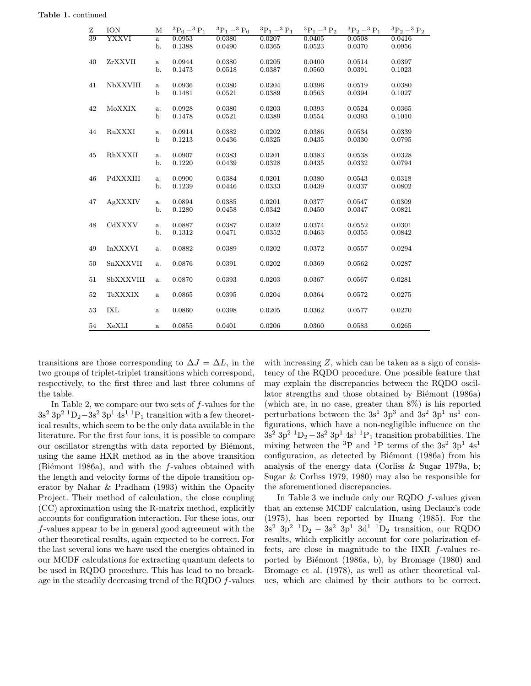| Ζ  | ION             | M                    | ${}^{3}P_0 - {}^{3}P_1$ | ${}^{3}P_1-{}^{3}P_0$ | ${}^{3}P_1 - {}^{3}P_1$ | ${}^{3}P_1 - {}^{3}P_2$ | ${}^{3}P_{2} - {}^{3}P_{1}$ | ${}^{3}P_{2} - {}^{3}P_{2}$ |
|----|-----------------|----------------------|-------------------------|-----------------------|-------------------------|-------------------------|-----------------------------|-----------------------------|
| 39 | <b>YXXVI</b>    | $\mathbf{a}$<br>b.   | 0.0953<br>0.1388        | 0.0380<br>0.0490      | 0.0207<br>0.0365        | 0.0405<br>0.0523        | 0.0508<br>0.0370            | 0.0416<br>0.0956            |
| 40 | ZrXXVII         | a<br>b.              | 0.0944<br>0.1473        | 0.0380<br>0.0518      | 0.0205<br>0.0387        | 0.0400<br>0.0560        | 0.0514<br>0.0391            | 0.0397<br>0.1023            |
| 41 | <b>NbXXVIII</b> | a<br>$\mathbf b$     | 0.0936<br>0.1481        | 0.0380<br>0.0521      | 0.0204<br>0.0389        | 0.0396<br>0.0563        | 0.0519<br>0.0394            | 0.0380<br>0.1027            |
| 42 | MoXXIX          | a.<br>$\mathbf b$    | 0.0928<br>0.1478        | 0.0380<br>0.0521      | 0.0203<br>0.0389        | 0.0393<br>0.0554        | 0.0524<br>0.0393            | 0.0365<br>0.1010            |
| 44 | RuXXXI          | a.<br>$\mathbf b$    | 0.0914<br>0.1213        | 0.0382<br>0.0436      | 0.0202<br>0.0325        | 0.0386<br>0.0435        | 0.0534<br>0.0330            | 0.0339<br>0.0795            |
| 45 | RhXXXII         | a.<br>b.             | 0.0907<br>0.1220        | 0.0383<br>0.0439      | 0.0201<br>0.0328        | 0.0383<br>0.0435        | 0.0538<br>0.0332            | 0.0328<br>0.0794            |
| 46 | PdXXXIII        | a.<br>$\mathbf{b}$ . | 0.0900<br>0.1239        | 0.0384<br>0.0446      | 0.0201<br>0.0333        | 0.0380<br>0.0439        | 0.0543<br>0.0337            | 0.0318<br>0.0802            |
| 47 | AgXXXIV         | a.<br>b.             | 0.0894<br>0.1280        | 0.0385<br>0.0458      | 0.0201<br>0.0342        | 0.0377<br>0.0450        | 0.0547<br>0.0347            | 0.0309<br>0.0821            |
| 48 | CdXXXV          | a.<br>b.             | 0.0887<br>0.1312        | 0.0387<br>0.0471      | 0.0202<br>0.0352        | 0.0374<br>0.0463        | 0.0552<br>0.0355            | 0.0301<br>0.0842            |
| 49 | <b>InXXXVI</b>  | a.                   | 0.0882                  | 0.0389                | 0.0202                  | 0.0372                  | 0.0557                      | 0.0294                      |
| 50 | SnXXXVII        | a.                   | 0.0876                  | 0.0391                | 0.0202                  | 0.0369                  | 0.0562                      | 0.0287                      |
| 51 | SbXXXVIII       | a.                   | 0.0870                  | 0.0393                | 0.0203                  | 0.0367                  | 0.0567                      | 0.0281                      |
| 52 | <b>TeXXXIX</b>  | $\mathbf{a}$         | 0.0865                  | 0.0395                | 0.0204                  | 0.0364                  | 0.0572                      | 0.0275                      |
| 53 | IXL             | a                    | 0.0860                  | 0.0398                | 0.0205                  | 0.0362                  | 0.0577                      | 0.0270                      |
| 54 | XeXLI           | a                    | 0.0855                  | 0.0401                | 0.0206                  | 0.0360                  | 0.0583                      | 0.0265                      |

transitions are those corresponding to  $\Delta J = \Delta L$ , in the two groups of triplet-triplet transitions which correspond, respectively, to the first three and last three columns of the table.

In Table 2, we compare our two sets of  $f$ -values for the  $3s^2$  3p<sup>2</sup> <sup>1</sup>D<sub>2</sub>−3s<sup>2</sup> 3p<sup>1</sup> 4s<sup>1</sup> <sup>1</sup>P<sub>1</sub> transition with a few theoretical results, which seem to be the only data available in the literature. For the first four ions, it is possible to compare our oscillator strengths with data reported by Biémont, using the same HXR method as in the above transition (Biémont 1986a), and with the  $f$ -values obtained with the length and velocity forms of the dipole transition operator by Nahar & Pradham (1993) within the Opacity Project. Their method of calculation, the close coupling (CC) aproximation using the R-matrix method, explicitly accounts for configuration interaction. For these ions, our f-values appear to be in general good agreement with the other theoretical results, again expected to be correct. For the last several ions we have used the energies obtained in our MCDF calculations for extracting quantum defects to be used in RQDO procedure. This has lead to no breackage in the steadily decreasing trend of the RQDO f-values

with increasing  $Z$ , which can be taken as a sign of consistency of the RQDO procedure. One possible feature that may explain the discrepancies between the RQDO oscillator strengths and those obtained by Biémont (1986a) (which are, in no case, greater than 8%) is his reported perturbations between the  $3s^1$  3p<sup>3</sup> and  $3s^2$  3p<sup>1</sup> ns<sup>1</sup> configurations, which have a non-negligible influence on the  $3s^2$  3p<sup>2</sup> <sup>1</sup>D<sub>2</sub> − 3s<sup>2</sup> 3p<sup>1</sup> 4s<sup>1</sup> <sup>1</sup>P<sub>1</sub> transition probabilities. The mixing between the <sup>3</sup>P and <sup>1</sup>P terms of the  $3s^2$  3p<sup>1</sup> 4s<sup>1</sup> configuration, as detected by Biémont (1986a) from his analysis of the energy data (Corliss & Sugar 1979a, b; Sugar & Corliss 1979, 1980) may also be responsible for the aforementioned discrepancies.

In Table 3 we include only our RQDO f-values given that an extense MCDF calculation, using Declaux's code (1975), has been reported by Huang (1985). For the  $3s^2$  3p<sup>2</sup> <sup>1</sup>D<sub>2</sub> − 3s<sup>2</sup> 3p<sup>1</sup> 3d<sup>1</sup> <sup>1</sup>D<sub>2</sub> transition, our RQDO results, which explicitly account for core polarization effects, are close in magnitude to the HXR f-values reported by Biémont (1986a, b), by Bromage (1980) and Bromage et al. (1978), as well as other theoretical values, which are claimed by their authors to be correct.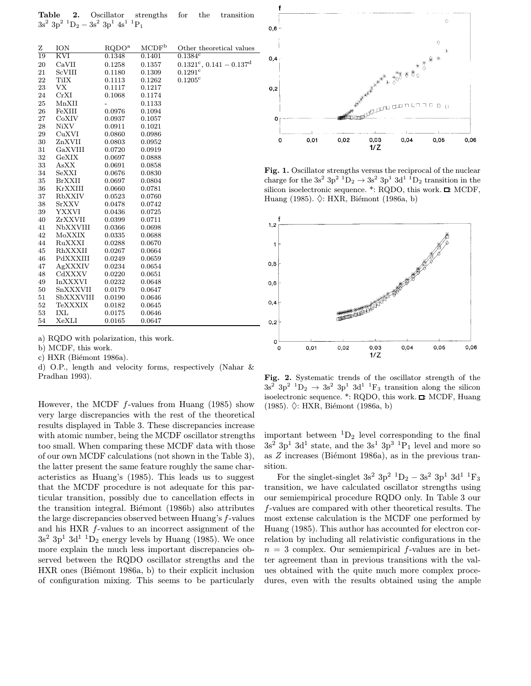Table 2. Oscillator strengths for the transition  $3s^2$  3p<sup>2</sup> <sup>1</sup>D<sub>2</sub> – 3s<sup>2</sup> 3p<sup>1</sup> 4s<sup>1</sup> <sup>1</sup>P<sub>1</sub>

| Ζ  | ION            | RQDO <sup>a</sup> | $\text{MCDF}^{\text{b}}$ | Other theoretical values                |
|----|----------------|-------------------|--------------------------|-----------------------------------------|
| 19 | KVI            | 0.1348            | 0.1401                   | $0.1384$ <sup>c</sup>                   |
| 20 | CaVII          | 0.1258            | 0.1357                   | $0.1321^{\circ}, 0.141 - 0.137^{\circ}$ |
| 21 | ScVIII         | 0.1180            | 0.1309                   | $0.1291$ <sup>c</sup>                   |
| 22 | <b>TiIX</b>    | 0.1113            | 0.1262                   | $0.1205$ <sup>c</sup>                   |
| 23 | VX             | 0.1117            | 0.1217                   |                                         |
| 24 | CrXI           | 0.1068            | 0.1174                   |                                         |
| 25 | MnXII          | $\overline{a}$    | 0.1133                   |                                         |
| 26 | FeXIII         | 0.0976            | 0.1094                   |                                         |
| 27 | CoXIV          | 0.0937            | 0.1057                   |                                         |
| 28 | <b>NiXV</b>    | 0.0911            | 0.1021                   |                                         |
| 29 | CuXVI          | 0.0860            | 0.0986                   |                                         |
| 30 | ZnXVII         | 0.0803            | 0.0952                   |                                         |
| 31 | GaXVIII        | 0.0720            | 0.0919                   |                                         |
| 32 | GeXIX          | 0.0697            | 0.0888                   |                                         |
| 33 | AsXX           | 0.0691            | 0.0858                   |                                         |
| 34 | SeXXI          | 0.0676            | 0.0830                   |                                         |
| 35 | <b>BrXXII</b>  | 0.0697            | 0.0804                   |                                         |
| 36 | <b>KrXXIII</b> | 0.0660            | 0.0781                   |                                         |
| 37 | <b>RbXXIV</b>  | 0.0523            | 0.0760                   |                                         |
| 38 | <b>SrXXV</b>   | 0.0478            | 0.0742                   |                                         |
| 39 | YXXVI          | 0.0436            | 0.0725                   |                                         |
| 40 | ZrXXVII        | 0.0399            | 0.0711                   |                                         |
| 41 | NbXXVIII       | 0.0366            | 0.0698                   |                                         |
| 42 | MoXXIX         | 0.0335            | 0.0688                   |                                         |
| 44 | RuXXXI         | 0.0288            | 0.0670                   |                                         |
| 45 | RhXXXII        | 0.0267            | 0.0664                   |                                         |
| 46 | PdXXXIII       | 0.0249            | 0.0659                   |                                         |
| 47 | AgXXXIV        | 0.0234            | 0.0654                   |                                         |
| 48 | CdXXXV         | 0.0220            | 0.0651                   |                                         |
| 49 | <b>InXXXVI</b> | 0.0232            | 0.0648                   |                                         |
| 50 | SnXXXVII       | 0.0179            | 0.0647                   |                                         |
| 51 | SbXXXVIII      | 0.0190            | 0.0646                   |                                         |
| 52 | <b>TeXXXIX</b> | 0.0182            | 0.0645                   |                                         |
| 53 | <b>IXL</b>     | 0.0175            | 0.0646                   |                                         |
| 54 | XeXLI          | 0.0165            | 0.0647                   |                                         |

a) RQDO with polarization, this work.

b) MCDF, this work.

c) HXR (Biémont 1986a).

d) O.P., length and velocity forms, respectively (Nahar & Pradhan 1993).

However, the MCDF  $f$ -values from Huang (1985) show very large discrepancies with the rest of the theoretical results displayed in Table 3. These discrepancies increase with atomic number, being the MCDF oscillator strengths too small. When comparing these MCDF data with those of our own MCDF calculations (not shown in the Table 3), the latter present the same feature roughly the same characteristics as Huang's (1985). This leads us to suggest that the MCDF procedure is not adequate for this particular transition, possibly due to cancellation effects in the transition integral. Biémont (1986b) also attributes the large discrepancies observed between Huang's f-values and his HXR f-values to an incorrect assignment of the  $3s^2$  3p<sup>1</sup> 3d<sup>1</sup> <sup>1</sup>D<sub>2</sub> energy levels by Huang (1985). We once more explain the much less important discrepancies observed between the RQDO oscillator strengths and the HXR ones (Biémont 1986a, b) to their explicit inclusion of configuration mixing. This seems to be particularly



Fig. 1. Oscillator strengths versus the reciprocal of the nuclear charge for the 3s<sup>2</sup> 3p<sup>2</sup> <sup>1</sup>D<sub>2</sub>  $\rightarrow$  3s<sup>2</sup> 3p<sup>1</sup> 3d<sup>1</sup> <sup>1</sup>D<sub>2</sub> transition in the silicon isoelectronic sequence.  $*$ : RQDO, this work.  $\Box$ : MCDF, Huang (1985).  $\Diamond$ : HXR, Biémont (1986a, b)



Fig. 2. Systematic trends of the oscillator strength of the  $3s^2$   $3p^2$   $^1D_2 \rightarrow 3s^2$   $3p^1$   $3d^1$   $^1F_3$  transition along the silicon isoelectronic sequence.  $*$ : RQDO, this work.  $\Box$ : MCDF, Huang (1985).  $\Diamond$ : HXR, Biémont (1986a, b)

important between  ${}^{1}D_{2}$  level corresponding to the final  $3s^2$  3p<sup>1</sup> 3d<sup>1</sup> state, and the  $3s^1$  3p<sup>3</sup> <sup>1</sup>P<sub>1</sub> level and more so as  $Z$  increases (Biémont 1986a), as in the previous transition.

For the singlet-singlet  $3s^2$  3p<sup>2</sup> <sup>1</sup>D<sub>2</sub> –  $3s^2$  3p<sup>1</sup> 3d<sup>1</sup> <sup>1</sup>F<sub>3</sub> transition, we have calculated oscillator strengths using our semiempirical procedure RQDO only. In Table 3 our f-values are compared with other theoretical results. The most extense calculation is the MCDF one performed by Huang (1985). This author has accounted for electron correlation by including all relativistic configurations in the  $n = 3$  complex. Our semiempirical f-values are in better agreement than in previous transitions with the values obtained with the quite much more complex procedures, even with the results obtained using the ample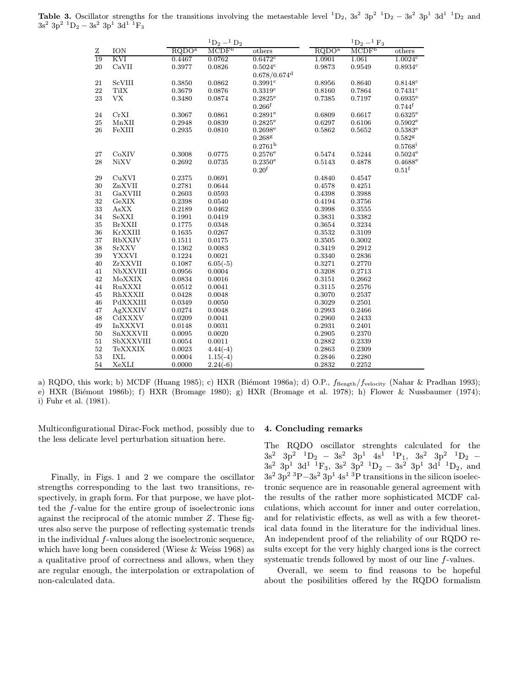**Table 3.** Oscillator strengths for the transitions involving the metaestable level <sup>1</sup>D<sub>2</sub>, 3s<sup>2</sup> 3p<sup>2</sup> <sup>1</sup>D<sub>2</sub> – 3s<sup>2</sup> 3p<sup>1</sup> 3d<sup>1</sup> <sup>1</sup>D<sub>2</sub> and  $3s^2$  3p<sup>2</sup> <sup>1</sup>D<sub>2</sub> – 3s<sup>2</sup> 3p<sup>1</sup> 3d<sup>1</sup> <sup>1</sup>F<sub>3</sub>

|        |                 |                   | ${}^{1}D_{2} - {}^{1}D_{2}$ |                            |                   | $^{1}D_{2} - ^{1}F_{3}$ |                       |
|--------|-----------------|-------------------|-----------------------------|----------------------------|-------------------|-------------------------|-----------------------|
| Ζ      | ION             | RQDO <sup>a</sup> | MCDF <sup>b</sup>           | others                     | RQDO <sup>a</sup> | MCDF <sup>b</sup>       | others                |
| 19     | KVI             | 0.4467            | 0.0762                      | $0.6472$ <sup>c</sup>      | 1.0901            | 1.061                   | 1.0024c               |
| 20     | CaVII           | 0.3977            | 0.0826                      | 0.5024c                    | 0.9873            | 0.9549                  | 0.8934c               |
|        |                 |                   |                             | $0.678/0.674$ <sup>d</sup> |                   |                         |                       |
| 21     | <b>ScVIII</b>   | 0.3850            | 0.0862                      | 0.3991c                    | 0.8956            | 0.8640                  | 0.8148c               |
| 22     | <b>TiIX</b>     | 0.3679            | 0.0876                      | 0.3319c                    | 0.8160            | 0.7864                  | 0.7431c               |
| 23     | <b>VX</b>       | 0.3480            | 0.0874                      | $0.2825^{\rm e}$           | 0.7385            | 0.7197                  | $0.6935^{\rm e}$      |
|        |                 |                   |                             | $0.266$ <sup>f</sup>       |                   |                         | $0.744^{\rm f}$       |
| 24     | CrXI            | 0.3067            | 0.0861                      | $0.2891$ <sup>e</sup>      | 0.6809            | 0.6617                  | $0.6325^{\mathrm{e}}$ |
| $25\,$ | MnXII           | 0.2948            | 0.0839                      | $0.2825^{\mathrm{e}}$      | 0.6297            | 0.6106                  | $0.5902^{\mathrm{e}}$ |
| 26     | FeXIII          | 0.2935            | 0.0810                      | $0.2698^{\mathrm{e}}$      | 0.5862            | 0.5652                  | $0.5383^{\rm e}$      |
|        |                 |                   |                             | $0.268$ g                  |                   |                         | $0.582$ g             |
|        |                 |                   |                             | $0.2761^{\rm h}$           |                   |                         | $0.5768^{\rm i}$      |
| 27     | CoXIV           | 0.3008            | 0.0775                      | $0.2576^{\rm e}$           | 0.5474            | 0.5244                  | $0.5024^{\rm e}$      |
| 28     | <b>NiXV</b>     | 0.2692            | 0.0735                      | $0.2350^{\rm e}$           | 0.5143            | 0.4878                  | $0.4688^{\rm e}$      |
|        |                 |                   |                             | 0.20 <sup>f</sup>          |                   |                         | 0.51 <sup>f</sup>     |
| 29     | CuXVI           | 0.2375            | 0.0691                      |                            | 0.4840            | 0.4547                  |                       |
| $30\,$ | ZnXVII          | 0.2781            | 0.0644                      |                            | 0.4578            | 0.4251                  |                       |
| 31     | GaXVIII         | 0.2603            | 0.0593                      |                            | 0.4398            | 0.3988                  |                       |
| 32     | GeXIX           | 0.2398            | 0.0540                      |                            | 0.4194            | 0.3756                  |                       |
| 33     | AsXX            | 0.2189            | 0.0462                      |                            | 0.3998            | 0.3555                  |                       |
| 34     | SeXXI           | 0.1991            | 0.0419                      |                            | 0.3831            | 0.3382                  |                       |
| $35\,$ | <b>BrXXII</b>   | 0.1775            | 0.0348                      |                            | 0.3654            | 0.3234                  |                       |
| 36     | KrXXIII         | 0.1635            | 0.0267                      |                            | 0.3532            | 0.3109                  |                       |
| 37     | RbXXIV          | 0.1511            | 0.0175                      |                            | 0.3505            | 0.3002                  |                       |
| 38     | <b>SrXXV</b>    | 0.1362            | 0.0083                      |                            | 0.3419            | 0.2912                  |                       |
| 39     | <b>YXXVI</b>    | 0.1224            | 0.0021                      |                            | 0.3340            | 0.2836                  |                       |
| 40     | ZrXXVII         | 0.1087            | $6.05(-5)$                  |                            | 0.3271            | 0.2770                  |                       |
| 41     | <b>NbXXVIII</b> | 0.0956            | 0.0004                      |                            | 0.3208            | 0.2713                  |                       |
| 42     | MoXXIX          | 0.0834            | 0.0016                      |                            | 0.3151            | 0.2662                  |                       |
| 44     | RuXXXI          | 0.0512            | 0.0041                      |                            | 0.3115            | 0.2576                  |                       |
| 45     | RhXXXII         | 0.0428            | 0.0048                      |                            | 0.3070            | 0.2537                  |                       |
| 46     | PdXXXIII        | 0.0349            | 0.0050                      |                            | 0.3029            | 0.2501                  |                       |
| 47     | AgXXXIV         | 0.0274            | 0.0048                      |                            | 0.2993            | 0.2466                  |                       |
| 48     | CdXXXV          | 0.0209            | 0.0041                      |                            | 0.2960            | 0.2433                  |                       |
| 49     | $\it In XXXVI$  | 0.0148            | 0.0031                      |                            | 0.2931            | 0.2401                  |                       |
| 50     | SnXXXVII        | 0.0095            | 0.0020                      |                            | 0.2905            | 0.2370                  |                       |
| 51     | SbXXXVIII       | 0.0054            | 0.0011                      |                            | 0.2882            | 0.2339                  |                       |
| 52     | <b>TeXXXIX</b>  | 0.0023            | $4.44(-4)$                  |                            | 0.2863            | 0.2309                  |                       |
| 53     | <b>IXL</b>      | 0.0004            | $1.15(-4)$                  |                            | 0.2846            | 0.2280                  |                       |
| 54     | XeXLI           | 0.0000            | $2.24(-6)$                  |                            | 0.2832            | 0.2252                  |                       |

a) RQDO, this work; b) MCDF (Huang 1985); c) HXR (Biémont 1986a); d) O.P.,  $f_{\text{flength}}/f_{\text{velocity}}$  (Nahar & Pradhan 1993); e) HXR (Biémont 1986b); f) HXR (Bromage 1980); g) HXR (Bromage et al. 1978); h) Flower & Nussbaumer (1974); i) Fuhr et al. (1981).

Multiconfigurational Dirac-Fock method, possibly due to the less delicate level perturbation situation here.

Finally, in Figs. 1 and 2 we compare the oscillator strengths corresponding to the last two transitions, respectively, in graph form. For that purpose, we have plotted the f-value for the entire group of isoelectronic ions against the reciprocal of the atomic number Z. These figures also serve the purpose of reflecting systematic trends in the individual f-values along the isoelectronic sequence, which have long been considered (Wiese & Weiss 1968) as a qualitative proof of correctness and allows, when they are regular enough, the interpolation or extrapolation of non-calculated data.

# 4. Concluding remarks

The RQDO oscillator strenghts calculated for the  $3s^2$   $3p^2$   ${}^1D_2$  −  $3s^2$   $3p^1$   $4s^1$   ${}^1P_1$ ,  $3s^2$   $3p^2$   ${}^1D_2$  −  $3s^2$  3p<sup>1</sup> 3d<sup>1</sup> <sup>1</sup>F<sub>3</sub>, 3s<sup>2</sup> 3p<sup>2</sup> <sup>1</sup>D<sub>2</sub> − 3s<sup>2</sup> 3p<sup>1</sup> 3d<sup>1</sup> <sup>1</sup>D<sub>2</sub>, and  $3s^2 3p^2 3p^2 3p^2 3p^1 4s^1 3p$  transitions in the silicon isoelectronic sequence are in reasonable general agreement with the results of the rather more sophisticated MCDF calculations, which account for inner and outer correlation, and for relativistic effects, as well as with a few theoretical data found in the literature for the individual lines. An independent proof of the reliability of our RQDO results except for the very highly charged ions is the correct systematic trends followed by most of our line f-values.

Overall, we seem to find reasons to be hopeful about the posibilities offered by the RQDO formalism